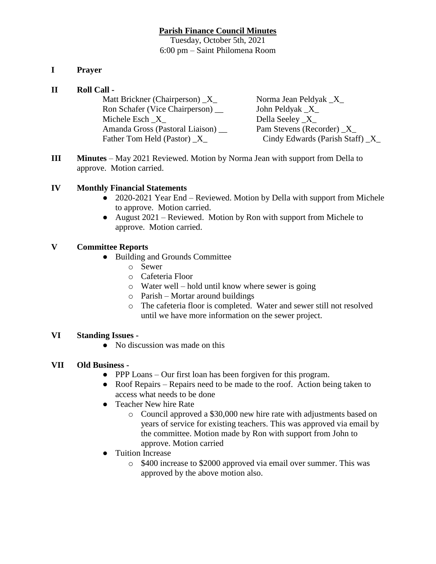# **Parish Finance Council Minutes**

Tuesday, October 5th, 2021 6:00 pm – Saint Philomena Room

# **I Prayer**

## **II Roll Call -**

Matt Brickner (Chairperson)  $X$  Norma Jean Peldyak  $X$ Ron Schafer (Vice Chairperson) \_\_ John Peldyak \_X\_ Michele Esch  $X$  Della Seeley  $X$ Amanda Gross (Pastoral Liaison) \_\_ Pam Stevens (Recorder) \_X\_ Father Tom Held (Pastor)  $\overline{X}$  Cindy Edwards (Parish Staff)  $\overline{X}$ 

**III Minutes** – May 2021 Reviewed. Motion by Norma Jean with support from Della to approve. Motion carried.

## **IV Monthly Financial Statements**

- 2020-2021 Year End Reviewed. Motion by Della with support from Michele to approve. Motion carried.
- August 2021 Reviewed. Motion by Ron with support from Michele to approve. Motion carried.

# **V Committee Reports**

- Building and Grounds Committee
	- o Sewer
	- o Cafeteria Floor
	- o Water well hold until know where sewer is going
	- o Parish Mortar around buildings
	- o The cafeteria floor is completed. Water and sewer still not resolved until we have more information on the sewer project.

## **VI Standing Issues -**

• No discussion was made on this

## **VII Old Business -**

- PPP Loans Our first loan has been forgiven for this program.
- Roof Repairs Repairs need to be made to the roof. Action being taken to access what needs to be done
- Teacher New hire Rate
	- o Council approved a \$30,000 new hire rate with adjustments based on years of service for existing teachers. This was approved via email by the committee. Motion made by Ron with support from John to approve. Motion carried
- Tuition Increase
	- o \$400 increase to \$2000 approved via email over summer. This was approved by the above motion also.